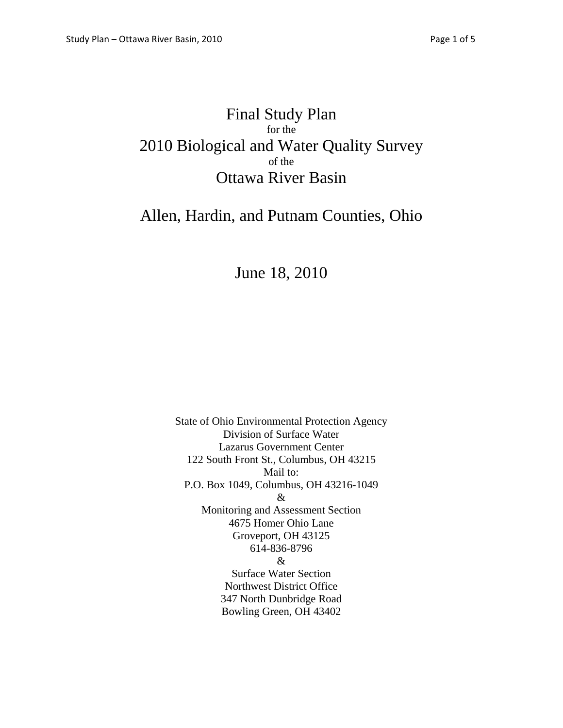## Final Study Plan for the 2010 Biological and Water Quality Survey of the Ottawa River Basin

## Allen, Hardin, and Putnam Counties, Ohio

# June 18, 2010

State of Ohio Environmental Protection Agency Division of Surface Water Lazarus Government Center 122 South Front St., Columbus, OH 43215 Mail to: P.O. Box 1049, Columbus, OH 43216-1049 & Monitoring and Assessment Section 4675 Homer Ohio Lane Groveport, OH 43125 614-836-8796 & Surface Water Section Northwest District Office 347 North Dunbridge Road Bowling Green, OH 43402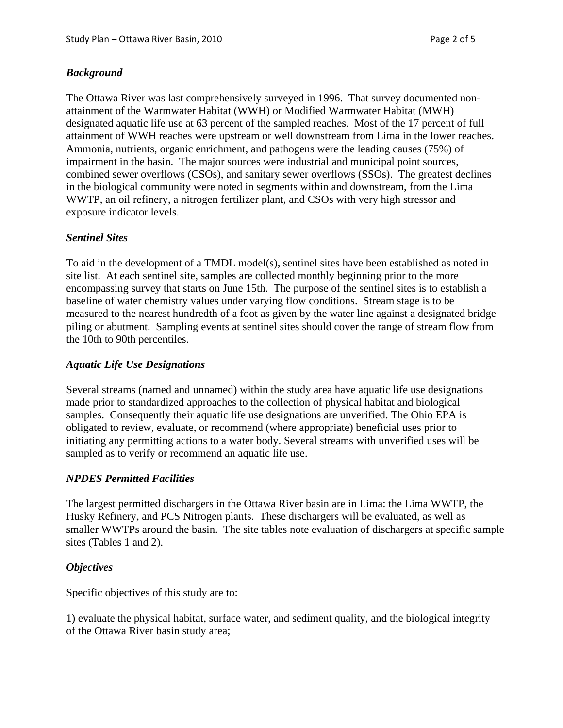## *Background*

The Ottawa River was last comprehensively surveyed in 1996. That survey documented nonattainment of the Warmwater Habitat (WWH) or Modified Warmwater Habitat (MWH) designated aquatic life use at 63 percent of the sampled reaches. Most of the 17 percent of full attainment of WWH reaches were upstream or well downstream from Lima in the lower reaches. Ammonia, nutrients, organic enrichment, and pathogens were the leading causes (75%) of impairment in the basin. The major sources were industrial and municipal point sources, combined sewer overflows (CSOs), and sanitary sewer overflows (SSOs). The greatest declines in the biological community were noted in segments within and downstream, from the Lima WWTP, an oil refinery, a nitrogen fertilizer plant, and CSOs with very high stressor and exposure indicator levels.

## *Sentinel Sites*

To aid in the development of a TMDL model(s), sentinel sites have been established as noted in site list. At each sentinel site, samples are collected monthly beginning prior to the more encompassing survey that starts on June 15th. The purpose of the sentinel sites is to establish a baseline of water chemistry values under varying flow conditions. Stream stage is to be measured to the nearest hundredth of a foot as given by the water line against a designated bridge piling or abutment. Sampling events at sentinel sites should cover the range of stream flow from the 10th to 90th percentiles.

#### *Aquatic Life Use Designations*

Several streams (named and unnamed) within the study area have aquatic life use designations made prior to standardized approaches to the collection of physical habitat and biological samples. Consequently their aquatic life use designations are unverified. The Ohio EPA is obligated to review, evaluate, or recommend (where appropriate) beneficial uses prior to initiating any permitting actions to a water body. Several streams with unverified uses will be sampled as to verify or recommend an aquatic life use.

#### *NPDES Permitted Facilities*

The largest permitted dischargers in the Ottawa River basin are in Lima: the Lima WWTP, the Husky Refinery, and PCS Nitrogen plants. These dischargers will be evaluated, as well as smaller WWTPs around the basin. The site tables note evaluation of dischargers at specific sample sites (Tables 1 and 2).

#### *Objectives*

Specific objectives of this study are to:

1) evaluate the physical habitat, surface water, and sediment quality, and the biological integrity of the Ottawa River basin study area;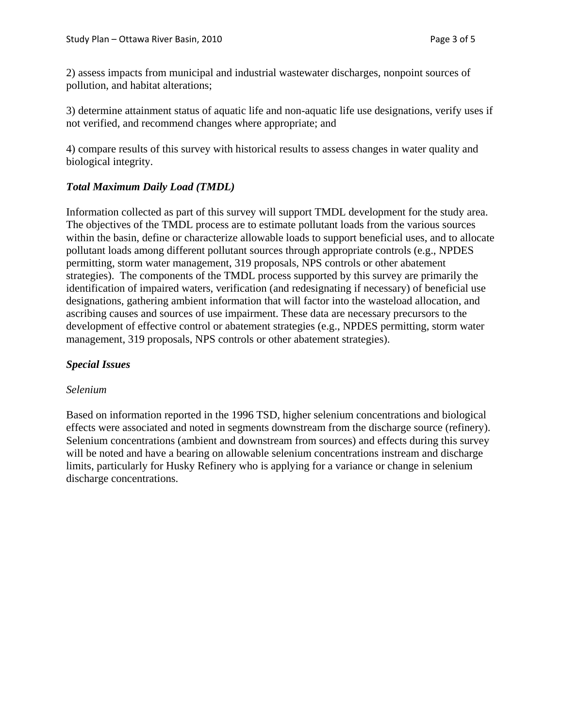2) assess impacts from municipal and industrial wastewater discharges, nonpoint sources of pollution, and habitat alterations;

3) determine attainment status of aquatic life and non-aquatic life use designations, verify uses if not verified, and recommend changes where appropriate; and

4) compare results of this survey with historical results to assess changes in water quality and biological integrity.

## *Total Maximum Daily Load (TMDL)*

Information collected as part of this survey will support TMDL development for the study area. The objectives of the TMDL process are to estimate pollutant loads from the various sources within the basin, define or characterize allowable loads to support beneficial uses, and to allocate pollutant loads among different pollutant sources through appropriate controls (e.g., NPDES permitting, storm water management, 319 proposals, NPS controls or other abatement strategies). The components of the TMDL process supported by this survey are primarily the identification of impaired waters, verification (and redesignating if necessary) of beneficial use designations, gathering ambient information that will factor into the wasteload allocation, and ascribing causes and sources of use impairment. These data are necessary precursors to the development of effective control or abatement strategies (e.g., NPDES permitting, storm water management, 319 proposals, NPS controls or other abatement strategies).

## *Special Issues*

#### *Selenium*

Based on information reported in the 1996 TSD, higher selenium concentrations and biological effects were associated and noted in segments downstream from the discharge source (refinery). Selenium concentrations (ambient and downstream from sources) and effects during this survey will be noted and have a bearing on allowable selenium concentrations instream and discharge limits, particularly for Husky Refinery who is applying for a variance or change in selenium discharge concentrations.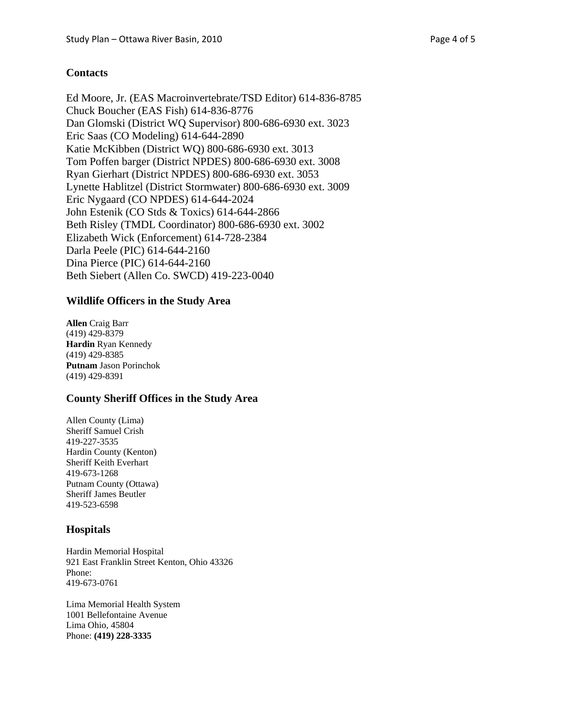## **Contacts**

Ed Moore, Jr. (EAS Macroinvertebrate/TSD Editor) 614-836-8785 Chuck Boucher (EAS Fish) 614-836-8776 Dan Glomski (District WQ Supervisor) 800-686-6930 ext. 3023 Eric Saas (CO Modeling) 614-644-2890 Katie McKibben (District WQ) 800-686-6930 ext. 3013 Tom Poffen barger (District NPDES) 800-686-6930 ext. 3008 Ryan Gierhart (District NPDES) 800-686-6930 ext. 3053 Lynette Hablitzel (District Stormwater) 800-686-6930 ext. 3009 Eric Nygaard (CO NPDES) 614-644-2024 John Estenik (CO Stds & Toxics) 614-644-2866 Beth Risley (TMDL Coordinator) 800-686-6930 ext. 3002 Elizabeth Wick (Enforcement) 614-728-2384 Darla Peele (PIC) 614-644-2160 Dina Pierce (PIC) 614-644-2160 Beth Siebert (Allen Co. SWCD) 419-223-0040

#### **Wildlife Officers in the Study Area**

**Allen** Craig Barr (419) 429-8379 **Hardin** Ryan Kennedy (419) 429-8385 **Putnam** Jason Porinchok (419) 429-8391

#### **County Sheriff Offices in the Study Area**

Allen County (Lima) Sheriff Samuel Crish 419-227-3535 Hardin County (Kenton) Sheriff Keith Everhart 419-673-1268 Putnam County (Ottawa) Sheriff James Beutler 419-523-6598

#### **Hospitals**

Hardin Memorial Hospital 921 East Franklin Street Kenton, Ohio 43326 Phone: 419-673-0761

Lima Memorial Health System 1001 Bellefontaine Avenue Lima Ohio, 45804 Phone: **(419) 228-3335**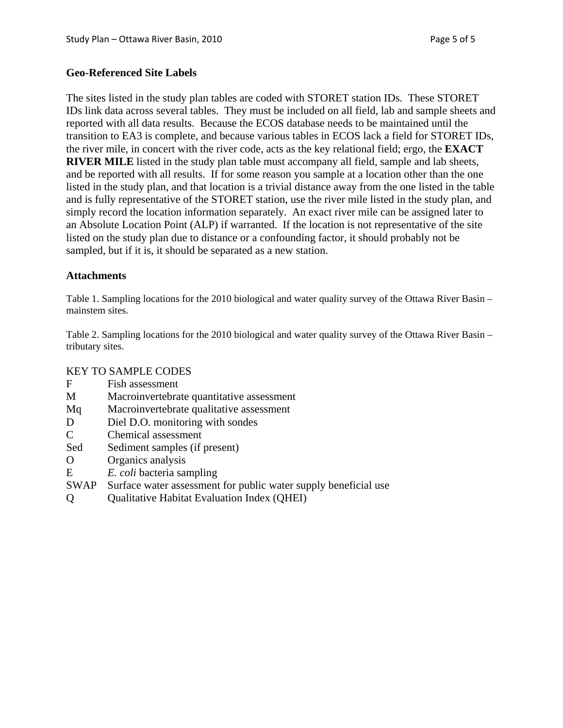## **Geo-Referenced Site Labels**

The sites listed in the study plan tables are coded with STORET station IDs. These STORET IDs link data across several tables. They must be included on all field, lab and sample sheets and reported with all data results. Because the ECOS database needs to be maintained until the transition to EA3 is complete, and because various tables in ECOS lack a field for STORET IDs, the river mile, in concert with the river code, acts as the key relational field; ergo, the **EXACT RIVER MILE** listed in the study plan table must accompany all field, sample and lab sheets, and be reported with all results. If for some reason you sample at a location other than the one listed in the study plan, and that location is a trivial distance away from the one listed in the table and is fully representative of the STORET station, use the river mile listed in the study plan, and simply record the location information separately. An exact river mile can be assigned later to an Absolute Location Point (ALP) if warranted. If the location is not representative of the site listed on the study plan due to distance or a confounding factor, it should probably not be sampled, but if it is, it should be separated as a new station.

## **Attachments**

Table 1. Sampling locations for the 2010 biological and water quality survey of the Ottawa River Basin – mainstem sites.

Table 2. Sampling locations for the 2010 biological and water quality survey of the Ottawa River Basin – tributary sites.

#### KEY TO SAMPLE CODES

- F Fish assessment
- M Macroinvertebrate quantitative assessment
- Mq Macroinvertebrate qualitative assessment
- D Diel D.O. monitoring with sondes
- C Chemical assessment
- Sed Sediment samples (if present)
- O Organics analysis
- E *E. coli* bacteria sampling
- SWAP Surface water assessment for public water supply beneficial use
- Q Qualitative Habitat Evaluation Index (QHEI)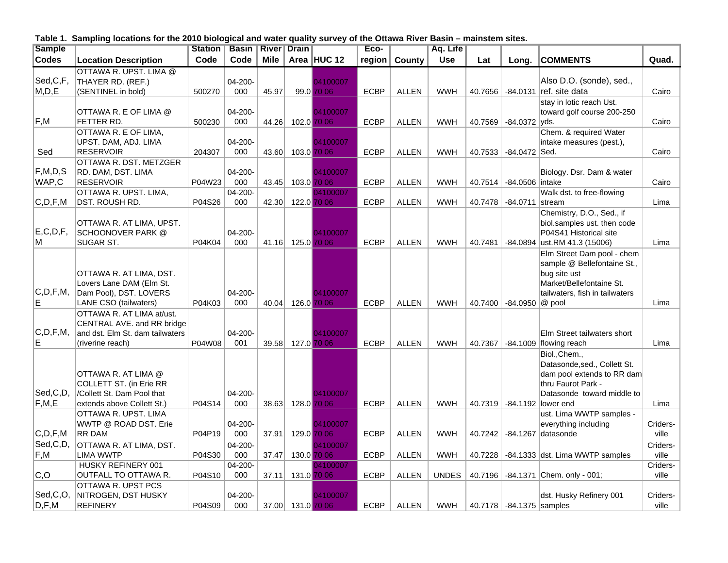**Table 1. Sampling locations for the 2010 biological and water quality survey of the Ottawa River Basin – mainstem sites.**

| <b>Sample</b>           |                                                       | <b>Station</b> | <b>Basin</b> | <b>River</b> | <b>Drain</b>      |             | Eco-        |               | Aq. Life     |         |                          |                                                  |          |
|-------------------------|-------------------------------------------------------|----------------|--------------|--------------|-------------------|-------------|-------------|---------------|--------------|---------|--------------------------|--------------------------------------------------|----------|
| <b>Codes</b>            | <b>Location Description</b>                           | Code           | Code         | <b>Mile</b>  |                   | Area HUC 12 | region      | <b>County</b> | <b>Use</b>   | Lat     | Long.                    | <b>COMMENTS</b>                                  | Quad.    |
|                         | OTTAWA R. UPST. LIMA @                                |                |              |              |                   |             |             |               |              |         |                          |                                                  |          |
| Sed, C, F,              | THAYER RD. (REF.)                                     |                | 04-200-      |              |                   | 04100007    |             |               |              |         |                          | Also D.O. (sonde), sed.,                         |          |
| M, D, E                 | (SENTINEL in bold)                                    | 500270         | 000          | 45.97        |                   | 99.0 70 06  | <b>ECBP</b> | <b>ALLEN</b>  | <b>WWH</b>   |         | 40.7656 34.0131          | ref. site data                                   | Cairo    |
|                         |                                                       |                |              |              |                   |             |             |               |              |         |                          | stay in lotic reach Ust.                         |          |
|                         | OTTAWA R. E OF LIMA @                                 |                | 04-200-      |              |                   | 04100007    |             |               |              |         |                          | toward golf course 200-250                       |          |
| $\mathsf{F},\mathsf{M}$ | FETTER RD.                                            | 500230         | 000          | 44.26        |                   | 102.0 70 06 | <b>ECBP</b> | <b>ALLEN</b>  | <b>WWH</b>   | 40.7569 | $-84.0372$               | ∣vds.                                            | Cairo    |
|                         | OTTAWA R. E OF LIMA,                                  |                |              |              |                   |             |             |               |              |         |                          | Chem. & required Water                           |          |
|                         | UPST. DAM, ADJ. LIMA                                  |                | 04-200-      |              |                   | 04100007    |             |               |              |         |                          | intake measures (pest.),                         |          |
| Sed                     | <b>RESERVOIR</b>                                      | 204307         | 000          | 43.60        |                   | 103.0 70 06 | <b>ECBP</b> | <b>ALLEN</b>  | <b>WWH</b>   | 40.7533 | -84.0472 Sed.            |                                                  | Cairo    |
| F,M,D,S                 | OTTAWA R. DST. METZGER<br>RD. DAM, DST. LIMA          |                | 04-200-      |              |                   | 04100007    |             |               |              |         |                          | Biology. Dsr. Dam & water                        |          |
| WAP,C                   | <b>RESERVOIR</b>                                      | P04W23         | 000          | 43.45        |                   | 103.0 70 06 | <b>ECBP</b> | <b>ALLEN</b>  | <b>WWH</b>   | 40.7514 | -84.0506 intake          |                                                  | Cairo    |
|                         | OTTAWA R. UPST. LIMA,                                 |                | $04 - 200 -$ |              |                   | 04100007    |             |               |              |         |                          | Walk dst. to free-flowing                        |          |
| C,D,F,M                 | <b>DST. ROUSH RD.</b>                                 | P04S26         | 000          | 42.30        |                   | 122.0 70 06 | <b>ECBP</b> | <b>ALLEN</b>  | <b>WWH</b>   | 40.7478 | $-84.0711$               | stream                                           | Lima     |
|                         |                                                       |                |              |              |                   |             |             |               |              |         |                          | Chemistry, D.O., Sed., if                        |          |
|                         | OTTAWA R. AT LIMA, UPST.                              |                |              |              |                   |             |             |               |              |         |                          | biol.samples ust. then code                      |          |
| E, C, D, F,             | <b>SCHOONOVER PARK @</b>                              |                | 04-200-      |              |                   | 04100007    |             |               |              |         |                          | P04S41 Historical site                           |          |
| ΙM                      | SUGAR ST.                                             | P04K04         | 000          | 41.16        |                   | 125.0 70 06 | <b>ECBP</b> | <b>ALLEN</b>  | <b>WWH</b>   | 40.7481 | -84.0894                 | ust.RM 41.3 (15006)                              | Lima     |
|                         |                                                       |                |              |              |                   |             |             |               |              |         |                          | Elm Street Dam pool - chem                       |          |
|                         |                                                       |                |              |              |                   |             |             |               |              |         |                          | sample @ Bellefontaine St.,                      |          |
|                         | OTTAWA R. AT LIMA, DST.                               |                |              |              |                   |             |             |               |              |         |                          | bug site ust                                     |          |
|                         | Lovers Lane DAM (Elm St.                              |                |              |              |                   |             |             |               |              |         |                          | Market/Bellefontaine St.                         |          |
| C,D,F,M,                | Dam Pool), DST. LOVERS                                |                | 04-200-      |              |                   | 04100007    |             |               |              |         |                          | tailwaters, fish in tailwaters                   |          |
| E.                      | LANE CSO (tailwaters)                                 | P04K03         | 000          | 40.04        |                   | 126.0 70 06 | <b>ECBP</b> | <b>ALLEN</b>  | <b>WWH</b>   |         | 40.7400 -84.0950         | $@$ pool                                         | Lima     |
|                         | OTTAWA R. AT LIMA at/ust.                             |                |              |              |                   |             |             |               |              |         |                          |                                                  |          |
|                         | CENTRAL AVE. and RR bridge                            |                |              |              |                   |             |             |               |              |         |                          |                                                  |          |
| C,D,F,M,                | and dst. Elm St. dam tailwaters                       |                | 04-200-      |              |                   | 04100007    |             |               |              |         |                          | Elm Street tailwaters short                      |          |
| ΙE                      | (riverine reach)                                      | P04W08         | 001          | 39.58        |                   | 127.0 70 06 | <b>ECBP</b> | <b>ALLEN</b>  | <b>WWH</b>   |         | 40.7367 -84.1009         | flowing reach                                    | Lima     |
|                         |                                                       |                |              |              |                   |             |             |               |              |         |                          | Biol., Chem.,                                    |          |
|                         |                                                       |                |              |              |                   |             |             |               |              |         |                          | Datasonde, sed., Collett St.                     |          |
|                         | OTTAWA R. AT LIMA @                                   |                |              |              |                   |             |             |               |              |         |                          | dam pool extends to RR dam                       |          |
| Sed,C,D,                | COLLETT ST. (in Erie RR<br>/Collett St. Dam Pool that |                | 04-200-      |              |                   | 04100007    |             |               |              |         |                          | thru Faurot Park -<br>Datasonde toward middle to |          |
| F, M, E                 | extends above Collett St.)                            | P04S14         | 000          | 38.63        | 128.0 70 06       |             | <b>ECBP</b> | <b>ALLEN</b>  | <b>WWH</b>   |         | 40.7319 -84.1192         | lower end                                        | Lima     |
|                         | OTTAWA R. UPST. LIMA                                  |                |              |              |                   |             |             |               |              |         |                          | ust. Lima WWTP samples -                         |          |
|                         | WWTP @ ROAD DST. Erie                                 |                | 04-200-      |              |                   | 04100007    |             |               |              |         |                          | everything including                             | Criders- |
| C,D,F,M                 | <b>RR DAM</b>                                         | P04P19         | 000          | 37.91        |                   | 129.0 70 06 | ECBP        | <b>ALLEN</b>  | <b>WWH</b>   | 40.7242 |                          | $-84.1267$ datasonde                             | ville    |
| Sed, C, D,              | OTTAWA R. AT LIMA, DST.                               |                | 04-200-      |              |                   | 04100007    |             |               |              |         |                          |                                                  | Criders- |
| F,M                     | <b>LIMA WWTP</b>                                      | P04S30         | 000          | 37.47        |                   | 130.0 70 06 | <b>ECBP</b> | <b>ALLEN</b>  | <b>WWH</b>   | 40.7228 |                          | -84.1333 dst. Lima WWTP samples                  | ville    |
|                         | HUSKY REFINERY 001                                    |                | 04-200-      |              |                   | 04100007    |             |               |              |         |                          |                                                  | Criders- |
| C, O                    | OUTFALL TO OTTAWA R.                                  | P04S10         | 000          | 37.11        |                   | 131.0 70 06 | <b>ECBP</b> | <b>ALLEN</b>  | <b>UNDES</b> | 40.7196 |                          | $-84.1371$ Chem. only - 001;                     | ville    |
|                         | OTTAWA R. UPST PCS                                    |                |              |              |                   |             |             |               |              |         |                          |                                                  |          |
| Sed,C,O,                | NITROGEN, DST HUSKY                                   |                | 04-200-      |              |                   | 04100007    |             |               |              |         |                          | dst. Husky Refinery 001                          | Criders- |
| D, F, M                 | <b>REFINERY</b>                                       | P04S09         | 000          |              | 37.00 131.0 70 06 |             | <b>ECBP</b> | <b>ALLEN</b>  | <b>WWH</b>   |         | 40.7178 -84.1375 samples |                                                  | ville    |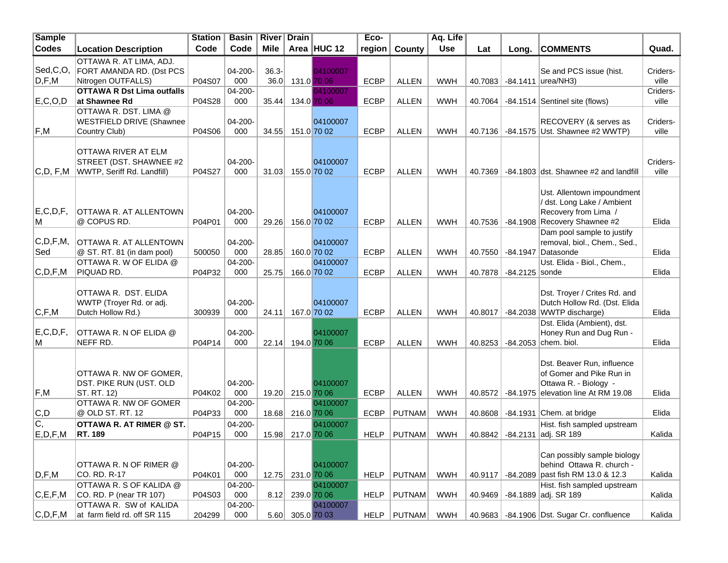| <b>Sample</b> |                                      | <b>Station</b> | <b>Basin</b>   | <b>River</b> | <b>Drain</b>      |                         | Eco-        |               | Aq. Life   |         |                  |                                               |          |
|---------------|--------------------------------------|----------------|----------------|--------------|-------------------|-------------------------|-------------|---------------|------------|---------|------------------|-----------------------------------------------|----------|
| Codes         | <b>Location Description</b>          | Code           | Code           | <b>Mile</b>  |                   | Area HUC 12             | region      | County        | <b>Use</b> | Lat     | Long.            | <b>COMMENTS</b>                               | Quad.    |
|               | OTTAWA R. AT LIMA, ADJ.              |                |                |              |                   |                         |             |               |            |         |                  |                                               |          |
| Sed,C,O,      | FORT AMANDA RD. (Dst PCS             |                | 04-200-        | $36.3 -$     |                   | 04100007                |             |               |            |         |                  | Se and PCS issue (hist.                       | Criders- |
| D, F, M       | Nitrogen OUTFALLS)                   | P04S07         | 000            | 36.0         |                   | 131.0 70 06             | <b>ECBP</b> | <b>ALLEN</b>  | <b>WWH</b> | 40.7083 |                  | -84.1411  urea/NH3)                           | ville    |
|               | <b>OTTAWA R Dst Lima outfalls</b>    |                | 04-200-        |              |                   | 04100007                |             |               |            |         |                  |                                               | Criders- |
| E, C, O, D    | ∣at Shawnee Rd                       | P04S28         | 000            | 35.44        |                   | 134.0 70 06             | <b>ECBP</b> | <b>ALLEN</b>  | <b>WWH</b> | 40.7064 |                  | -84.1514 Sentinel site (flows)                | ville    |
|               | OTTAWA R. DST. LIMA @                |                |                |              |                   |                         |             |               |            |         |                  |                                               |          |
|               | <b>WESTFIELD DRIVE (Shawnee</b>      |                | 04-200-        |              |                   | 04100007                |             |               |            |         |                  | RECOVERY (& serves as                         | Criders- |
| F,M           | Country Club)                        | P04S06         | 000            | 34.55        |                   | 151.0 70 02             | <b>ECBP</b> | <b>ALLEN</b>  | <b>WWH</b> | 40.7136 |                  | -84.1575 Ust. Shawnee #2 WWTP)                | ville    |
|               |                                      |                |                |              |                   |                         |             |               |            |         |                  |                                               |          |
|               | <b>OTTAWA RIVER AT ELM</b>           |                |                |              |                   |                         |             |               |            |         |                  |                                               |          |
|               | STREET (DST. SHAWNEE #2              |                | 04-200-        |              |                   | 04100007                |             |               |            |         |                  |                                               | Criders- |
| C,D, F, M     | WWTP, Seriff Rd. Landfill)           | P04S27         | 000            | 31.03        |                   | 155.0 70 02             | <b>ECBP</b> | <b>ALLEN</b>  | <b>WWH</b> |         |                  | 40.7369 -84.1803 dst. Shawnee #2 and landfill | ville    |
|               |                                      |                |                |              |                   |                         |             |               |            |         |                  |                                               |          |
|               |                                      |                |                |              |                   |                         |             |               |            |         |                  | Ust. Allentown impoundment                    |          |
|               |                                      |                |                |              |                   |                         |             |               |            |         |                  | / dst. Long Lake / Ambient                    |          |
| E, C, D, F    | OTTAWA R. AT ALLENTOWN               |                | 04-200-        |              |                   | 04100007                |             |               |            |         |                  | Recovery from Lima /                          |          |
| M             | @ COPUS RD.                          | P04P01         | 000            | 29.26        |                   | 156.0 70 02             | <b>ECBP</b> | <b>ALLEN</b>  | <b>WWH</b> | 40.7536 |                  | -84.1908 Recovery Shawnee #2                  | Elida    |
| C,D,F,M,      |                                      |                |                |              |                   |                         |             |               |            |         |                  | Dam pool sample to justify                    |          |
|               | OTTAWA R. AT ALLENTOWN               |                | 04-200-        |              |                   | 04100007                |             |               |            |         |                  | removal, biol., Chem., Sed.,                  |          |
| Sed           | @ ST. RT. 81 (in dam pool)           | 500050         | 000            | 28.85        |                   | 160.0 70 02             | <b>ECBP</b> | <b>ALLEN</b>  | <b>WWH</b> |         | 40.7550 -84.1947 | Datasonde<br>Ust. Elida - Biol., Chem.,       | Elida    |
| C,D,F,M       | OTTAWA R. W OF ELIDA @<br>PIQUAD RD. | P04P32         | 04-200-<br>000 | 25.75        |                   | 04100007<br>166.0 70 02 | <b>ECBP</b> | <b>ALLEN</b>  | <b>WWH</b> | 40.7878 | $-84.2125$ sonde |                                               | Elida    |
|               |                                      |                |                |              |                   |                         |             |               |            |         |                  |                                               |          |
|               | OTTAWA R. DST. ELIDA                 |                |                |              |                   |                         |             |               |            |         |                  | Dst. Troyer / Crites Rd. and                  |          |
|               | WWTP (Troyer Rd. or adj.             |                | 04-200-        |              |                   | 04100007                |             |               |            |         |                  | Dutch Hollow Rd. (Dst. Elida                  |          |
| C, F, M       | Dutch Hollow Rd.)                    | 300939         | 000            | 24.11        |                   | 167.0 70 02             | <b>ECBP</b> | <b>ALLEN</b>  | <b>WWH</b> | 40.8017 | -84.2038         | WWTP discharge)                               | Elida    |
|               |                                      |                |                |              |                   |                         |             |               |            |         |                  | Dst. Elida (Ambient), dst.                    |          |
| E, C, D, F    | OTTAWA R. N OF ELIDA @               |                | 04-200-        |              |                   | 04100007                |             |               |            |         |                  | Honey Run and Dug Run -                       |          |
| M             | NEFF RD.                             | P04P14         | 000            | 22.14        |                   | 194.0 70 06             | <b>ECBP</b> | <b>ALLEN</b>  | <b>WWH</b> | 40.8253 | -84.2053         | chem. biol.                                   | Elida    |
|               |                                      |                |                |              |                   |                         |             |               |            |         |                  |                                               |          |
|               |                                      |                |                |              |                   |                         |             |               |            |         |                  | Dst. Beaver Run, influence                    |          |
|               | OTTAWA R. NW OF GOMER.               |                |                |              |                   |                         |             |               |            |         |                  | of Gomer and Pike Run in                      |          |
|               | <b>DST. PIKE RUN (UST. OLD</b>       |                | 04-200-        |              |                   | 04100007                |             |               |            |         |                  | Ottawa R. - Biology -                         |          |
| F,M           | ST. RT. 12)                          | P04K02         | 000            | 19.20        | 215.0 70 06       |                         | <b>ECBP</b> | <b>ALLEN</b>  | <b>WWH</b> | 40.8572 |                  | -84.1975 elevation line At RM 19.08           | Elida    |
|               | OTTAWA R. NW OF GOMER                |                | 04-200-        |              |                   | 04100007                |             |               |            |         |                  |                                               |          |
| C,D           | @ OLD ST. RT. 12                     | P04P33         | 000            | 18.68        | 216.0 70 06       |                         | ECBP        | <b>PUTNAM</b> | <b>WWH</b> | 40.8608 |                  | $-84.1931$ Chem. at bridge                    | Elida    |
| IC,           | OTTAWA R. AT RIMER @ ST.             |                | 04-200-        |              |                   | 04100007                |             |               |            |         |                  | Hist. fish sampled upstream                   |          |
| E, D, F, M    | <b>RT. 189</b>                       | P04P15         | 000            |              | 15.98 217.0 70 06 |                         | <b>HELP</b> | <b>PUTNAM</b> | <b>WWH</b> | 40.8842 |                  | -84.2131 adj. SR 189                          | Kalida   |
|               |                                      |                |                |              |                   |                         |             |               |            |         |                  |                                               |          |
|               |                                      |                |                |              |                   |                         |             |               |            |         |                  | Can possibly sample biology                   |          |
|               | OTTAWA R. N OF RIMER @               |                | 04-200-        |              |                   | 04100007                |             |               |            |         |                  | behind Ottawa R. church -                     |          |
| D, F, M       | CO. RD. R-17                         | P04K01         | 000            |              | 12.75 231.0 70 06 |                         | <b>HELP</b> | PUTNAM        | <b>WWH</b> | 40.9117 |                  | -84.2089 past fish RM 13.0 & 12.3             | Kalida   |
|               | OTTAWA R. S OF KALIDA @              |                | 04-200-        |              |                   | 04100007                |             |               |            |         |                  | Hist. fish sampled upstream                   |          |
| C, E, F, M    | CO. RD. P (near TR 107)              | P04S03         | 000            | 8.12         | 239.0 70 06       |                         | <b>HELP</b> | <b>PUTNAM</b> | <b>WWH</b> | 40.9469 |                  | $-84.1889$ adj. SR 189                        | Kalida   |
|               | OTTAWA R. SW of KALIDA               |                | 04-200-        |              |                   | 04100007                |             |               |            |         |                  |                                               |          |
| C,D,F,M       | at farm field rd. off SR 115         | 204299         | 000            | 5.60         | 305.0 70 03       |                         | <b>HELP</b> | PUTNAM        | <b>WWH</b> |         |                  | 40.9683 -84.1906 Dst. Sugar Cr. confluence    | Kalida   |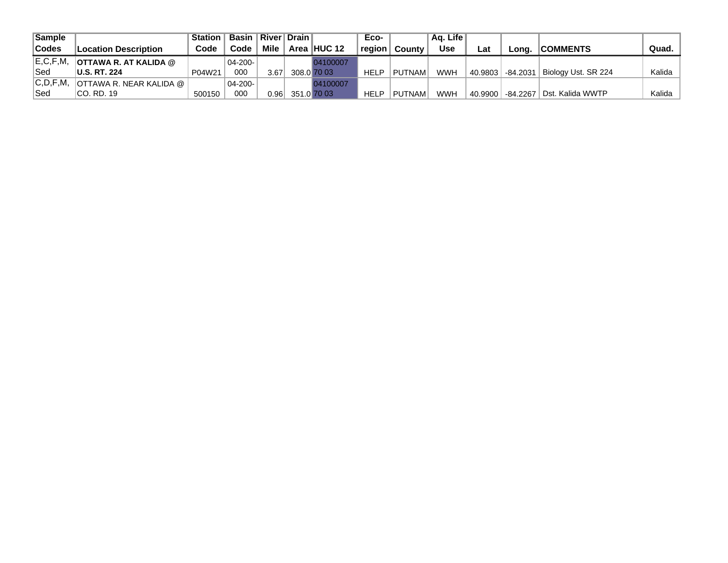| Sample       |                                  | Station | <b>Basin</b> I |             | River   Drain |             | Eco-        |               | Aa. Life   |         |                     |                     |        |
|--------------|----------------------------------|---------|----------------|-------------|---------------|-------------|-------------|---------------|------------|---------|---------------------|---------------------|--------|
| <b>Codes</b> | <b>Location Description</b>      | Code    | Code           | <b>Mile</b> |               | Area HUC 12 | region      | County        | <b>Use</b> | ∟at     | Lona.               | <b>COMMENTS</b>     | Quad.  |
| E, C, F, M   | <b>OTTAWA R. AT KALIDA @</b>     |         | 04-200-        |             |               | 04100007    |             |               |            |         |                     |                     |        |
| Sed          | <b>U.S. RT. 224</b>              | P04W21  | 000            | 3.67        |               | 308.0 70 03 | <b>HELP</b> | <b>PUTNAM</b> | WWH        |         | ∣ 40.9803 ∃-84.2031 | Biology Ust. SR 224 | Kalida |
| C, D, F, M,  | <b>OTTAWA R. NEAR KALIDA @  </b> |         | $04 - 200 -$   |             |               | 04100007    |             |               |            |         |                     |                     |        |
| Sed          | ICO. RD. 19                      | 500150  | 000            | 0.961       |               | 351.0 70 03 | <b>HELP</b> | <b>PUTNAM</b> | WWH        | 40.9900 | -84.2267丨           | l Dst. Kalida WWTP  | Kalida |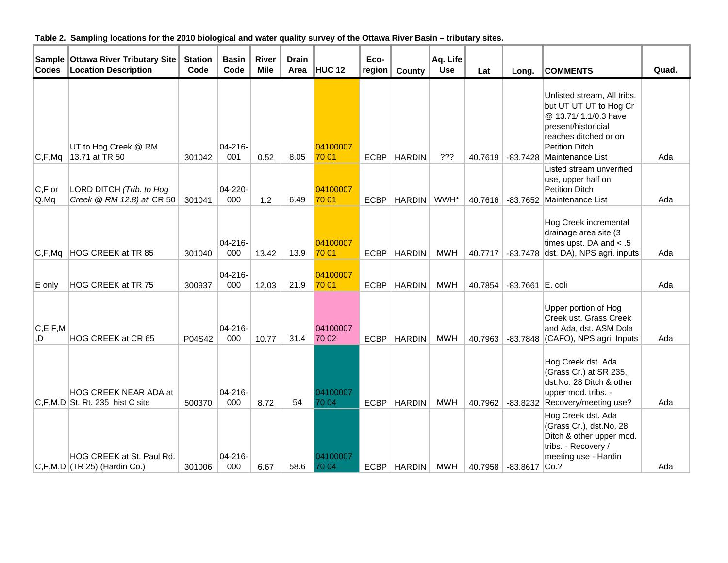| Table 2. Sampling locations for the 2010 biological and water quality survey of the Ottawa River Basin - tributary sites. |  |  |  |  |  |  |
|---------------------------------------------------------------------------------------------------------------------------|--|--|--|--|--|--|
|---------------------------------------------------------------------------------------------------------------------------|--|--|--|--|--|--|

| <b>Sample</b><br><b>Codes</b> | <b>Ottawa River Tributary Site</b><br><b>Location Description</b>      | <b>Station</b><br>Code | <b>Basin</b><br>Code | <b>River</b><br><b>Mile</b> | <b>Drain</b><br>Area | <b>HUC 12</b>     | Eco-<br>region | County        | Aq. Life<br><b>Use</b> | Lat     | Long.              | <b>COMMENTS</b>                                                                                                                                                             | Quad. |
|-------------------------------|------------------------------------------------------------------------|------------------------|----------------------|-----------------------------|----------------------|-------------------|----------------|---------------|------------------------|---------|--------------------|-----------------------------------------------------------------------------------------------------------------------------------------------------------------------------|-------|
| C, F, Mq                      | UT to Hog Creek @ RM<br>13.71 at TR 50                                 | 301042                 | $04 - 216 -$<br>001  | 0.52                        | 8.05                 | 04100007<br>70 01 | <b>ECBP</b>    | <b>HARDIN</b> | ???                    | 40.7619 | -83.7428           | Unlisted stream, All tribs.<br>but UT UT UT to Hog Cr<br>@ 13.71/ 1.1/0.3 have<br>present/historicial<br>reaches ditched or on<br><b>Petition Ditch</b><br>Maintenance List | Ada   |
| $C, F$ or<br>Q, Mq            | LORD DITCH (Trib. to Hog<br>Creek @ RM 12.8) at CR 50                  | 301041                 | 04-220-<br>000       | 1.2                         | 6.49                 | 04100007<br>70 01 | <b>ECBP</b>    | <b>HARDIN</b> | WWH*                   | 40.7616 | $-83.7652$         | Listed stream unverified<br>use, upper half on<br><b>Petition Ditch</b><br>Maintenance List                                                                                 | Ada   |
| C, F, Mq                      | HOG CREEK at TR 85                                                     | 301040                 | 04-216-<br>000       | 13.42                       | 13.9                 | 04100007<br>70 01 | <b>ECBP</b>    | <b>HARDIN</b> | <b>MWH</b>             | 40.7717 |                    | Hog Creek incremental<br>drainage area site (3<br>times upst. DA and $< .5$<br>$-83.7478$ dst. DA), NPS agri. inputs                                                        | Ada   |
| E only                        | HOG CREEK at TR 75                                                     | 300937                 | $04 - 216 -$<br>000  | 12.03                       | 21.9                 | 04100007<br>70 01 | <b>ECBP</b>    | <b>HARDIN</b> | <b>MWH</b>             | 40.7854 | $-83.7661$ E. coli |                                                                                                                                                                             | Ada   |
| C, E, F, M<br>O,              | HOG CREEK at CR 65                                                     | P04S42                 | $04 - 216 -$<br>000  | 10.77                       | 31.4                 | 04100007<br>70 02 | <b>ECBP</b>    | <b>HARDIN</b> | <b>MWH</b>             | 40.7963 | -83.7848           | Upper portion of Hog<br>Creek ust. Grass Creek<br>and Ada, dst. ASM Dola<br>(CAFO), NPS agri. Inputs                                                                        | Ada   |
|                               | <b>HOG CREEK NEAR ADA at</b><br>$ C, F, M, D $ St. Rt. 235 hist C site | 500370                 | $04 - 216 -$<br>000  | 8.72                        | 54                   | 04100007<br>70 04 | <b>ECBP</b>    | <b>HARDIN</b> | <b>MWH</b>             | 40.7962 |                    | Hog Creek dst. Ada<br>(Grass Cr.) at SR 235,<br>dst.No. 28 Ditch & other<br>upper mod. tribs. -<br>-83.8232 Recovery/meeting use?                                           | Ada   |
|                               | HOG CREEK at St. Paul Rd.<br>$ C, F, M, D $ (TR 25) (Hardin Co.)       | 301006                 | 04-216-<br>000       | 6.67                        | 58.6                 | 04100007<br>70 04 | <b>ECBP</b>    | <b>HARDIN</b> | <b>MWH</b>             | 40.7958 | $-83.8617$         | Hog Creek dst. Ada<br>(Grass Cr.), dst.No. 28<br>Ditch & other upper mod.<br>tribs. - Recovery /<br>meeting use - Hardin<br> Co.?                                           | Ada   |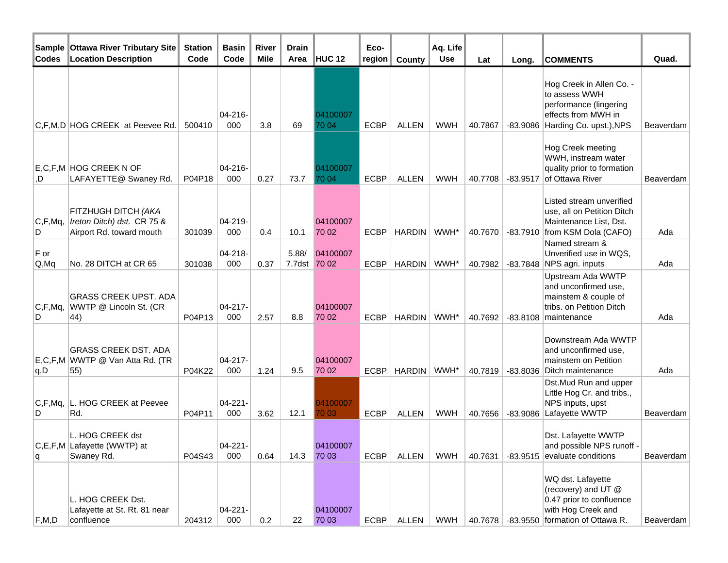| Sample<br><b>Codes</b>             | <b>Ottawa River Tributary Site</b><br><b>Location Description</b>              | <b>Station</b><br>Code | <b>Basin</b><br>Code | <b>River</b><br><b>Mile</b> | <b>Drain</b><br>Area | HUC 12            | Eco-<br>region | County        | Aq. Life<br><b>Use</b> | Lat     | Long.      | <b>COMMENTS</b>                                                                                                                       | Quad.     |
|------------------------------------|--------------------------------------------------------------------------------|------------------------|----------------------|-----------------------------|----------------------|-------------------|----------------|---------------|------------------------|---------|------------|---------------------------------------------------------------------------------------------------------------------------------------|-----------|
|                                    | C,F,M,D HOG CREEK at Peevee Rd.                                                | 500410                 | $04 - 216 -$<br>000  | 3.8                         | 69                   | 04100007<br>70 04 | <b>ECBP</b>    | <b>ALLEN</b>  | <b>WWH</b>             | 40.7867 |            | Hog Creek in Allen Co. -<br>to assess WWH<br>performance (lingering<br>effects from MWH in<br>-83.9086 Harding Co. upst.), NPS        | Beaverdam |
| .D                                 | E,C,F,M HOG CREEK N OF<br>LAFAYETTE@ Swaney Rd.                                | P04P18                 | 04-216-<br>000       | 0.27                        | 73.7                 | 04100007<br>70 04 | <b>ECBP</b>    | <b>ALLEN</b>  | <b>WWH</b>             | 40.7708 | $-83.9517$ | Hog Creek meeting<br>WWH, instream water<br>quality prior to formation<br>of Ottawa River                                             | Beaverdam |
| C, F, Mg,<br>D                     | FITZHUGH DITCH (AKA<br>Ireton Ditch) dst. CR 75 &<br>Airport Rd. toward mouth  | 301039                 | 04-219-<br>000       | 0.4                         | 10.1                 | 04100007<br>70 02 | <b>ECBP</b>    | <b>HARDIN</b> | WWH*                   | 40.7670 |            | Listed stream unverified<br>use, all on Petition Ditch<br>Maintenance List, Dst.<br>-83.7910 from KSM Dola (CAFO)                     | Ada       |
| $F$ or<br>Q, Mq                    | No. 28 DITCH at CR 65                                                          | 301038                 | 04-218-<br>000       | 0.37                        | 5.88/<br>7.7dst      | 04100007<br>70 02 | <b>ECBP</b>    | <b>HARDIN</b> | WWH*                   | 40.7982 |            | Named stream &<br>Unverified use in WQS,<br>-83.7848 NPS agri. inputs                                                                 | Ada       |
| C, F, Mq,<br>D                     | <b>GRASS CREEK UPST. ADA</b><br>WWTP @ Lincoln St. (CR<br>44)                  | P04P13                 | 04-217-<br>000       | 2.57                        | 8.8                  | 04100007<br>70 02 | <b>ECBP</b>    | <b>HARDIN</b> | WWH*                   | 40.7692 |            | Upstream Ada WWTP<br>and unconfirmed use,<br>mainstem & couple of<br>tribs. on Petition Ditch<br>-83.8108 maintenance                 | Ada       |
| q, D                               | <b>GRASS CREEK DST. ADA</b><br>E,C,F,M WWTP @ Van Atta Rd. (TR<br>$ 55\rangle$ | P04K22                 | $04 - 217 -$<br>000  | 1.24                        | 9.5                  | 04100007<br>70 02 | <b>ECBP</b>    | HARDIN        | WWH*                   | 40.7819 |            | Downstream Ada WWTP<br>and unconfirmed use,<br>mainstem on Petition<br>-83.8036 Ditch maintenance                                     | Ada       |
| C, F, Mq,<br>D                     | L. HOG CREEK at Peevee<br>Rd.                                                  | P04P11                 | $04 - 221 -$<br>000  | 3.62                        | 12.1                 | 04100007<br>70 03 | <b>ECBP</b>    | <b>ALLEN</b>  | <b>WWH</b>             | 40.7656 | $-83.9086$ | Dst.Mud Run and upper<br>Little Hog Cr. and tribs.,<br>NPS inputs, upst<br>Lafayette WWTP                                             | Beaverdam |
| q                                  | L. HOG CREEK dst<br>C,E,F,M Lafayette (WWTP) at<br>Swaney Rd.                  | P04S43                 | $04 - 221 -$<br>000  | 0.64                        | 14.3                 | 04100007<br>70 03 | <b>ECBP</b>    | <b>ALLEN</b>  | <b>WWH</b>             | 40.7631 |            | Dst. Lafayette WWTP<br>and possible NPS runoff -<br>-83.9515 evaluate conditions                                                      | Beaverdam |
| $\mathsf{F},\mathsf{M},\mathsf{D}$ | L. HOG CREEK Dst.<br>Lafayette at St. Rt. 81 near<br>confluence                | 204312                 | $04 - 221 -$<br>000  | 0.2                         | 22                   | 04100007<br>70 03 |                | ECBP   ALLEN  | <b>WWH</b>             |         |            | WQ dst. Lafayette<br>(recovery) and UT @<br>0.47 prior to confluence<br>with Hog Creek and<br>40.7678 -83.9550 formation of Ottawa R. | Beaverdam |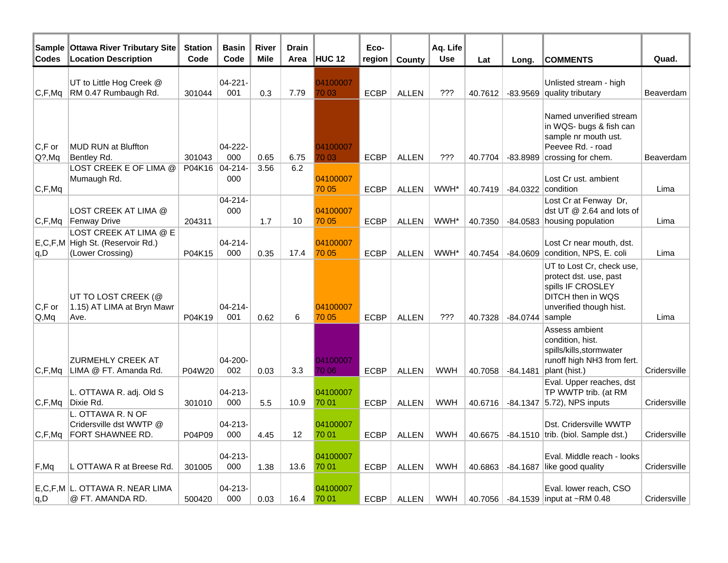| Sample<br><b>Codes</b> | <b>Ottawa River Tributary Site</b><br><b>Location Description</b>              | <b>Station</b><br>Code | <b>Basin</b><br>Code | <b>River</b><br><b>Mile</b> | <b>Drain</b><br>Area | <b>HUC 12</b>     | Eco-<br>region | County       | Aq. Life<br><b>Use</b> | Lat     | Long.             | <b>COMMENTS</b>                                                                                                          | Quad.        |
|------------------------|--------------------------------------------------------------------------------|------------------------|----------------------|-----------------------------|----------------------|-------------------|----------------|--------------|------------------------|---------|-------------------|--------------------------------------------------------------------------------------------------------------------------|--------------|
| C, F, Mq               | UT to Little Hog Creek @<br>RM 0.47 Rumbaugh Rd.                               | 301044                 | 04-221-<br>001       | 0.3                         | 7.79                 | 04100007<br>70 03 | <b>ECBP</b>    | <b>ALLEN</b> | ???                    | 40.7612 |                   | Unlisted stream - high<br>-83.9569 quality tributary                                                                     | Beaverdam    |
| $C, F$ or<br>$Q$ ?,Mq  | MUD RUN at Bluffton<br>Bentley Rd.                                             | 301043                 | 04-222-<br>000       | 0.65                        | 6.75                 | 04100007<br>70 03 | <b>ECBP</b>    | <b>ALLEN</b> | ???                    | 40.7704 | $-83.8989$        | Named unverified stream<br>in WQS- bugs & fish can<br>sample nr mouth ust.<br>Peevee Rd. - road<br>crossing for chem.    | Beaverdam    |
| C, F, Mq               | LOST CREEK E OF LIMA @<br>Mumaugh Rd.                                          | P04K16                 | $04 - 214 -$<br>000  | 3.56                        | 6.2                  | 04100007<br>70 05 | <b>ECBP</b>    | <b>ALLEN</b> | WWH*                   | 40.7419 | $-84.0322$        | Lost Cr ust, ambient<br>condition                                                                                        | Lima         |
|                        | LOST CREEK AT LIMA @<br>C,F,Mq Fenway Drive                                    | 204311                 | 04-214-<br>000       | 1.7                         | 10                   | 04100007<br>70 05 | <b>ECBP</b>    | <b>ALLEN</b> | WWH*                   |         |                   | Lost Cr at Fenway Dr,<br>dst UT @ 2.64 and lots of<br>40.7350 -84.0583 housing population                                | Lima         |
| q, D                   | LOST CREEK AT LIMA @ E<br>E,C,F,M High St. (Reservoir Rd.)<br>(Lower Crossing) | P04K15                 | 04-214-<br>000       | 0.35                        | 17.4                 | 04100007<br>70 05 | <b>ECBP</b>    | <b>ALLEN</b> | WWH*                   | 40.7454 |                   | Lost Cr near mouth, dst.<br>$-84.0609$ condition, NPS, E. coli                                                           | Lima         |
| $C, F$ or<br>Q, Mq     | UT TO LOST CREEK (@<br>1.15) AT LIMA at Bryn Mawr<br>Ave.                      | P04K19                 | 04-214-<br>001       | 0.62                        | 6                    | 04100007<br>70 05 | <b>ECBP</b>    | <b>ALLEN</b> | ???                    | 40.7328 | $-84.0744$ sample | UT to Lost Cr. check use.<br>protect dst. use, past<br>spills IF CROSLEY<br>DITCH then in WQS<br>unverified though hist. | Lima         |
| C,F,Mq                 | <b>ZURMEHLY CREEK AT</b><br>LIMA @ FT. Amanda Rd.                              | P04W20                 | 04-200-<br>002       | 0.03                        | 3.3                  | 04100007<br>70 06 | <b>ECBP</b>    | <b>ALLEN</b> | <b>WWH</b>             | 40.7058 | $-84.1481$        | Assess ambient<br>condition, hist.<br>spills/kills, stormwater<br>runoff high NH3 from fert.<br>plant (hist.)            | Cridersville |
| C,F,Mq                 | L. OTTAWA R. adj. Old S<br>Dixie Rd.                                           | 301010                 | 04-213-<br>000       | 5.5                         | 10.9                 | 04100007<br>70 01 | <b>ECBP</b>    | <b>ALLEN</b> | <b>WWH</b>             | 40.6716 |                   | Eval. Upper reaches, dst<br>TP WWTP trib. (at RM<br>$-84.1347$ (5.72), NPS inputs                                        | Cridersville |
| C, F, Mq               | L. OTTAWA R. N OF<br>Cridersville dst WWTP @<br>FORT SHAWNEE RD.               | P04P09                 | 04-213-<br>000       | 4.45                        | 12 <sup>2</sup>      | 04100007<br>70 01 | <b>ECBP</b>    | <b>ALLEN</b> | <b>WWH</b>             |         |                   | Dst. Cridersville WWTP<br>40.6675   -84.1510  trib. (biol. Sample dst.)                                                  | Cridersville |
| F, Mq                  | L OTTAWA R at Breese Rd.                                                       | 301005                 | 04-213-<br>000       | 1.38                        | 13.6                 | 04100007<br>70 01 | <b>ECBP</b>    | <b>ALLEN</b> | <b>WWH</b>             | 40.6863 | $-84.1687$        | Eval. Middle reach - looks<br>like good quality                                                                          | Cridersville |
| q, D                   | E.C.F.M L. OTTAWA R. NEAR LIMA<br>@ FT. AMANDA RD.                             | 500420                 | 04-213-<br>000       | 0.03                        | 16.4                 | 04100007<br>70 01 | <b>ECBP</b>    | <b>ALLEN</b> | <b>WWH</b>             |         |                   | Eval. lower reach, CSO<br>40.7056 -84.1539 input at ~RM 0.48                                                             | Cridersville |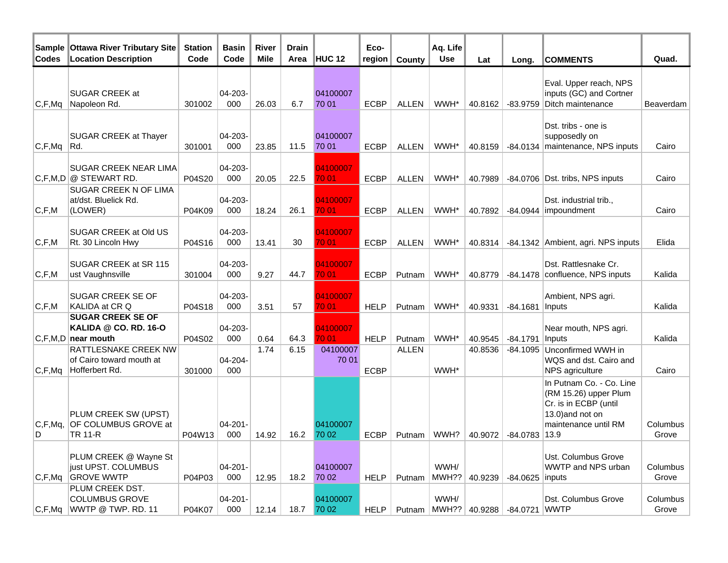| Sample<br>Codes | Ottawa River Tributary Site<br><b>Location Description</b>                                   | <b>Station</b><br>Code | <b>Basin</b><br>Code | <b>River</b><br><b>Mile</b> | <b>Drain</b><br>Area | <b>HUC 12</b>     | Eco-<br>region | County       | Aq. Life<br><b>Use</b> | Lat             | Long.                       | <b>COMMENTS</b>                                                                                                                | Quad.             |
|-----------------|----------------------------------------------------------------------------------------------|------------------------|----------------------|-----------------------------|----------------------|-------------------|----------------|--------------|------------------------|-----------------|-----------------------------|--------------------------------------------------------------------------------------------------------------------------------|-------------------|
| C, F, Mq        | <b>SUGAR CREEK at</b><br>Napoleon Rd.                                                        | 301002                 | $04 - 203 -$<br>000  | 26.03                       | 6.7                  | 04100007<br>70 01 | <b>ECBP</b>    | <b>ALLEN</b> | WWH*                   | 40.8162         | -83.9759                    | Eval. Upper reach, NPS<br>inputs (GC) and Cortner<br>Ditch maintenance                                                         | Beaverdam         |
| C, F, Mq        | <b>SUGAR CREEK at Thayer</b><br>Rd.                                                          | 301001                 | $04 - 203 -$<br>000  | 23.85                       | 11.5                 | 04100007<br>70 01 | <b>ECBP</b>    | <b>ALLEN</b> | WWH*                   | 40.8159         |                             | Dst. tribs - one is<br>supposedly on<br>-84.0134 maintenance, NPS inputs                                                       | Cairo             |
|                 | <b>SUGAR CREEK NEAR LIMA</b><br>$ C, F, M, D  @$ STEWART RD.<br><b>SUGAR CREEK N OF LIMA</b> | P04S20                 | $04 - 203 -$<br>000  | 20.05                       | 22.5                 | 04100007<br>70 01 | <b>ECBP</b>    | <b>ALLEN</b> | WWH*                   | 40.7989         |                             | -84.0706 Dst. tribs, NPS inputs                                                                                                | Cairo             |
| C, F, M         | at/dst. Bluelick Rd.<br>(LOWER)                                                              | P04K09                 | 04-203-<br>000       | 18.24                       | 26.1                 | 04100007<br>70 01 | <b>ECBP</b>    | <b>ALLEN</b> | WWH*                   | 40.7892         |                             | Dst. industrial trib.,<br>$-84.0944$ impoundment                                                                               | Cairo             |
| C, F, M         | SUGAR CREEK at Old US<br>Rt. 30 Lincoln Hwy                                                  | P04S16                 | 04-203-<br>000       | 13.41                       | 30                   | 04100007<br>70 01 | <b>ECBP</b>    | <b>ALLEN</b> | WWH*                   | 40.8314         |                             | -84.1342 Ambient, agri. NPS inputs                                                                                             | Elida             |
| C, F, M         | SUGAR CREEK at SR 115<br>ust Vaughnsville                                                    | 301004                 | 04-203-<br>000       | 9.27                        | 44.7                 | 04100007<br>70 01 | <b>ECBP</b>    | Putnam       | WWH*                   | 40.8779         |                             | Dst. Rattlesnake Cr.<br>-84.1478 confluence, NPS inputs                                                                        | Kalida            |
| C, F, M         | <b>SUGAR CREEK SE OF</b><br>KALIDA at CR Q<br><b>SUGAR CREEK SE OF</b>                       | P04S18                 | 04-203-<br>000       | 3.51                        | 57                   | 04100007<br>70 01 | <b>HELP</b>    | Putnam       | WWH*                   | 40.9331         | $-84.1681$                  | Ambient, NPS agri.<br>Inputs                                                                                                   | Kalida            |
|                 | KALIDA @ CO. RD. 16-O<br>$ C, F, M, D $ near mouth                                           | P04S02                 | 04-203-<br>000       | 0.64                        | 64.3                 | 04100007<br>70 01 | <b>HELP</b>    | Putnam       | WWH*                   | 40.9545         | -84.1791                    | Near mouth, NPS agri.<br>Inputs                                                                                                | Kalida            |
| C, F, Mq        | <b>RATTLESNAKE CREEK NW</b><br>of Cairo toward mouth at<br>Hofferbert Rd.                    | 301000                 | 04-204-<br>000       | 1.74                        | 6.15                 | 04100007<br>70 01 | <b>ECBP</b>    | <b>ALLEN</b> | WWH*                   | 40.8536         | $-84.1095$                  | Unconfirmed WWH in<br>WQS and dst. Cairo and<br>NPS agriculture                                                                | Cairo             |
| C, F, Mg,<br>D  | PLUM CREEK SW (UPST)<br>OF COLUMBUS GROVE at<br><b>TR 11-R</b>                               | P04W13                 | $04 - 201 -$<br>000  | 14.92                       | 16.2                 | 04100007<br>70 02 | <b>ECBP</b>    | Putnam       | WWH?                   | 40.9072         | -84.0783                    | In Putnam Co. - Co. Line<br>(RM 15.26) upper Plum<br>Cr. is in ECBP (until<br>13.0) and not on<br>maintenance until RM<br>13.9 | Columbus<br>Grove |
| C, F, Mq        | PLUM CREEK @ Wayne St<br>just UPST. COLUMBUS<br><b>GROVE WWTP</b>                            | P04P03                 | $04 - 201 -$<br>000  | 12.95                       | 18.2                 | 04100007<br>70 02 | <b>HELP</b>    | Putnam       | WWH/                   | MWH??   40.9239 | -84.0625 inputs             | Ust. Columbus Grove<br>WWTP and NPS urban                                                                                      | Columbus<br>Grove |
| C,F,Mq          | PLUM CREEK DST.<br><b>COLUMBUS GROVE</b><br>WWTP @ TWP. RD. 11                               | P04K07                 | $04 - 201 -$<br>000  | 12.14                       | 18.7                 | 04100007<br>70 02 | HELP           | Putnam       | WWH/                   |                 | MWH?? 40.9288 -84.0721 WWTP | Dst. Columbus Grove                                                                                                            | Columbus<br>Grove |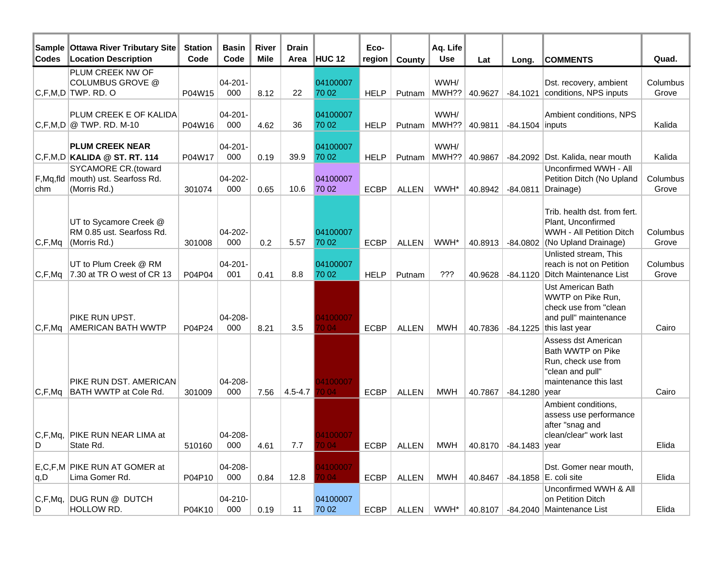| Sample<br><b>Codes</b>                            | <b>Ottawa River Tributary Site</b><br><b>Location Description</b> | <b>Station</b><br>Code | <b>Basin</b><br>Code | River<br><b>Mile</b> | <b>Drain</b><br>Area | <b>HUC 12</b> | Eco-<br>region | County       | Aq. Life<br><b>Use</b> | Lat     | Long.                           | <b>COMMENTS</b>                                | Quad.    |
|---------------------------------------------------|-------------------------------------------------------------------|------------------------|----------------------|----------------------|----------------------|---------------|----------------|--------------|------------------------|---------|---------------------------------|------------------------------------------------|----------|
|                                                   | PLUM CREEK NW OF                                                  |                        |                      |                      |                      |               |                |              |                        |         |                                 |                                                |          |
|                                                   | <b>COLUMBUS GROVE @</b>                                           |                        | $04 - 201 -$         |                      |                      | 04100007      |                |              | WWH/                   |         |                                 | Dst. recovery, ambient                         | Columbus |
|                                                   | $ C, F, M, D $ TWP. RD. O                                         | P04W15                 | 000                  | 8.12                 | 22                   | 70 02         | <b>HELP</b>    | Putnam       | MWH??                  | 40.9627 | $-84.1021$                      | conditions, NPS inputs                         | Grove    |
|                                                   | PLUM CREEK E OF KALIDA                                            |                        | $04 - 201 -$         |                      |                      | 04100007      |                |              | WWH/                   |         |                                 | Ambient conditions, NPS                        |          |
|                                                   | $ C, F, M, D  \otimes TWP$ . RD. M-10                             | P04W16                 | 000                  | 4.62                 | 36                   | 70 02         | <b>HELP</b>    | Putnam       | MWH??                  | 40.9811 | $-84.1504$ inputs               |                                                | Kalida   |
|                                                   |                                                                   |                        |                      |                      |                      |               |                |              |                        |         |                                 |                                                |          |
|                                                   | <b>PLUM CREEK NEAR</b>                                            |                        | $04 - 201 -$         |                      |                      | 04100007      |                |              | WWH/                   |         |                                 | Dst. Kalida, near mouth                        |          |
|                                                   | $ C, F, M, D $ KALIDA @ ST. RT. 114<br><b>SYCAMORE CR.(toward</b> | P04W17                 | 000                  | 0.19                 | 39.9                 | 70 02         | <b>HELP</b>    | Putnam       | MWH??                  | 40.9867 | $-84.2092$                      | Unconfirmed WWH - All                          | Kalida   |
|                                                   | F, Mq, fld   mouth) ust. Searfoss Rd.                             |                        | 04-202-              |                      |                      | 04100007      |                |              |                        |         |                                 | Petition Ditch (No Upland                      | Columbus |
| chm                                               | (Morris Rd.)                                                      | 301074                 | 000                  | 0.65                 | 10.6                 | 70 02         | <b>ECBP</b>    | <b>ALLEN</b> | WWH*                   | 40.8942 | $-84.0811$                      | Drainage)                                      | Grove    |
|                                                   |                                                                   |                        |                      |                      |                      |               |                |              |                        |         |                                 |                                                |          |
|                                                   |                                                                   |                        |                      |                      |                      |               |                |              |                        |         |                                 | Trib. health dst. from fert.                   |          |
|                                                   | UT to Sycamore Creek @<br>RM 0.85 ust. Searfoss Rd.               |                        | $04 - 202 -$         |                      |                      | 04100007      |                |              |                        |         |                                 | Plant, Unconfirmed<br>WWH - All Petition Ditch | Columbus |
| C, F, Mq                                          | (Morris Rd.)                                                      | 301008                 | 000                  | 0.2                  | 5.57                 | 70 02         | <b>ECBP</b>    | <b>ALLEN</b> | WWH*                   | 40.8913 | -84.0802                        | (No Upland Drainage)                           | Grove    |
|                                                   |                                                                   |                        |                      |                      |                      |               |                |              |                        |         |                                 | Unlisted stream, This                          |          |
|                                                   | UT to Plum Creek @ RM                                             |                        | $04 - 201 -$         |                      |                      | 04100007      |                |              |                        |         |                                 | reach is not on Petition                       | Columbus |
| C, F, Mq                                          | 7.30 at TR O west of CR 13                                        | P04P04                 | 001                  | 0.41                 | 8.8                  | 70 02         | <b>HELP</b>    | Putnam       | ???                    | 40.9628 | $-84.1120$                      | Ditch Maintenance List                         | Grove    |
|                                                   |                                                                   |                        |                      |                      |                      |               |                |              |                        |         |                                 | Ust American Bath                              |          |
|                                                   |                                                                   |                        |                      |                      |                      |               |                |              |                        |         |                                 | WWTP on Pike Run,<br>check use from "clean     |          |
|                                                   | PIKE RUN UPST.                                                    |                        | 04-208-              |                      |                      | 4100007       |                |              |                        |         |                                 | and pull" maintenance                          |          |
| $ {\mathsf C},{\mathsf F},{\mathsf M}{\mathsf q}$ | <b>AMERICAN BATH WWTP</b>                                         | P04P24                 | 000                  | 8.21                 | 3.5                  | 004           | <b>ECBP</b>    | <b>ALLEN</b> | MWH                    | 40.7836 | -84.1225                        | this last year                                 | Cairo    |
|                                                   |                                                                   |                        |                      |                      |                      |               |                |              |                        |         |                                 | Assess dst American                            |          |
|                                                   |                                                                   |                        |                      |                      |                      |               |                |              |                        |         |                                 | Bath WWTP on Pike                              |          |
|                                                   |                                                                   |                        |                      |                      |                      |               |                |              |                        |         |                                 | Run, check use from                            |          |
|                                                   | PIKE RUN DST. AMERICAN                                            |                        | 04-208-              |                      |                      | 4100007       |                |              |                        |         |                                 | "clean and pull"<br>maintenance this last      |          |
| C, F, Mq                                          | BATH WWTP at Cole Rd.                                             | 301009                 | 000                  | 7.56                 | $4.5 - 4.7$          | 004           | <b>ECBP</b>    | <b>ALLEN</b> | <b>MWH</b>             | 40.7867 | $-84.1280$                      | year                                           | Cairo    |
|                                                   |                                                                   |                        |                      |                      |                      |               |                |              |                        |         |                                 | Ambient conditions,                            |          |
|                                                   |                                                                   |                        |                      |                      |                      |               |                |              |                        |         |                                 | assess use performance                         |          |
|                                                   |                                                                   |                        |                      |                      |                      |               |                |              |                        |         |                                 | after "snag and                                |          |
| C, F, Mq,                                         | PIKE RUN NEAR LIMA at                                             |                        | 04-208-              |                      |                      | 4100007       |                |              |                        |         |                                 | clean/clear" work last                         |          |
| ID.                                               | State Rd.                                                         | 510160                 | 000                  | 4.61                 | 7.7                  |               | ECBP           | ALLEN        |                        |         | MWH   40.8170   -84.1483   year |                                                | Elida    |
|                                                   | E,C,F,M PIKE RUN AT GOMER at                                      |                        | 04-208-              |                      |                      | 1400007       |                |              |                        |         |                                 | Dst. Gomer near mouth,                         |          |
| ∣q,D                                              | Lima Gomer Rd.                                                    | P04P10                 | 000                  | 0.84                 | 12.8                 | 004           | ECBP           | <b>ALLEN</b> | MWH                    | 40.8467 |                                 | $-84.1858$ E. coli site                        | Elida    |
|                                                   |                                                                   |                        |                      |                      |                      |               |                |              |                        |         |                                 | Unconfirmed WWH & All                          |          |
|                                                   | C,F,Mq, DUG RUN @ DUTCH                                           |                        | $04 - 210 -$         |                      |                      | 04100007      |                |              |                        |         |                                 | on Petition Ditch                              |          |
| ID.                                               | HOLLOW RD.                                                        | P04K10                 | 000                  | 0.19                 | 11                   | 70 02         | ECBP           | <b>ALLEN</b> | WWH*                   |         |                                 | 40.8107 -84.2040 Maintenance List              | Elida    |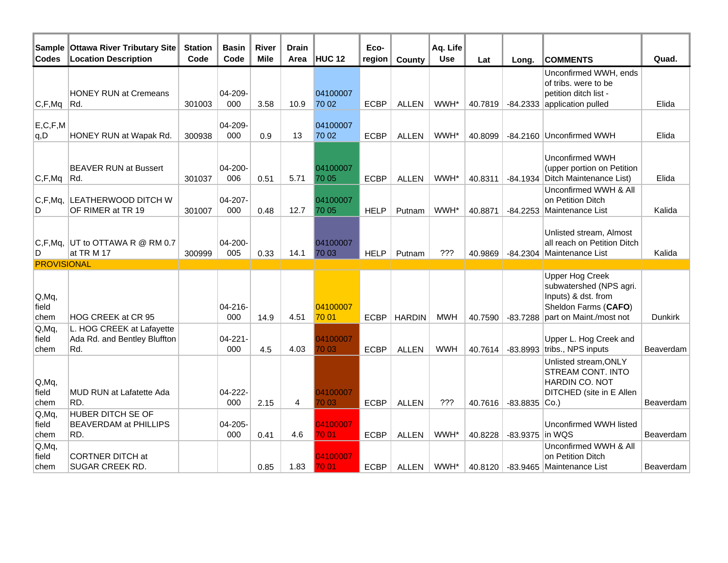| Sample<br>Codes         | <b>Ottawa River Tributary Site</b><br><b>Location Description</b> | <b>Station</b><br>Code | <b>Basin</b><br>Code | <b>River</b><br><b>Mile</b> | <b>Drain</b><br>Area | HUC <sub>12</sub> | Eco-<br>region | County        | Aq. Life<br><b>Use</b> | Lat     | Long.                 | <b>COMMENTS</b>                                                                                                             | Quad.          |
|-------------------------|-------------------------------------------------------------------|------------------------|----------------------|-----------------------------|----------------------|-------------------|----------------|---------------|------------------------|---------|-----------------------|-----------------------------------------------------------------------------------------------------------------------------|----------------|
| C, F, Mq                | <b>HONEY RUN at Cremeans</b><br>Rd.                               | 301003                 | 04-209-<br>000       | 3.58                        | 10.9                 | 04100007<br>70 02 | <b>ECBP</b>    | <b>ALLEN</b>  | WWH*                   | 40.7819 |                       | Unconfirmed WWH, ends<br>of tribs. were to be<br>petition ditch list -<br>-84.2333 application pulled                       | Elida          |
| E, C, F, M<br> q,D      | HONEY RUN at Wapak Rd.                                            | 300938                 | 04-209-<br>000       | 0.9                         | 13                   | 04100007<br>70 02 | <b>ECBP</b>    | <b>ALLEN</b>  | WWH*                   | 40.8099 |                       | -84.2160 Unconfirmed WWH                                                                                                    | Elida          |
| C, F, Mq                | <b>BEAVER RUN at Bussert</b><br>Rd.                               | 301037                 | 04-200-<br>006       | 0.51                        | 5.71                 | 04100007<br>70 05 | <b>ECBP</b>    | <b>ALLEN</b>  | WWH*                   | 40.8311 |                       | Unconfirmed WWH<br>(upper portion on Petition<br>-84.1934 Ditch Maintenance List)                                           | Elida          |
| C, F, Mq,<br>D          | LEATHERWOOD DITCH W<br>OF RIMER at TR 19                          | 301007                 | 04-207-<br>000       | 0.48                        | 12.7                 | 04100007<br>70 05 | <b>HELP</b>    | Putnam        | WWH*                   | 40.8871 | $-84.2253$            | Unconfirmed WWH & All<br>on Petition Ditch<br>Maintenance List                                                              | Kalida         |
| C, F, Mq,<br>D          | UT to OTTAWA R @ RM 0.7<br>at TRM 17                              | 300999                 | 04-200-<br>005       | 0.33                        | 14.1                 | 04100007<br>70 03 | <b>HELP</b>    | Putnam        | ???                    | 40.9869 |                       | Unlisted stream, Almost<br>all reach on Petition Ditch<br>-84.2304 Maintenance List                                         | Kalida         |
| <b>PROVISIONAL</b>      |                                                                   |                        |                      |                             |                      |                   |                |               |                        |         |                       |                                                                                                                             |                |
| Q, MQ,<br>field<br>chem | HOG CREEK at CR 95                                                |                        | 04-216-<br>000       | 14.9                        | 4.51                 | 04100007<br>70 01 | <b>ECBP</b>    | <b>HARDIN</b> | MWH                    | 40.7590 | $-83.7288$            | <b>Upper Hog Creek</b><br>subwatershed (NPS agri.<br>Inputs) & dst. from<br>Sheldon Farms (CAFO)<br>part on Maint./most not | <b>Dunkirk</b> |
| Q, Mq<br>field<br>chem  | L. HOG CREEK at Lafayette<br>Ada Rd. and Bentley Bluffton<br>Rd.  |                        | 04-221-<br>000       | 4.5                         | 4.03                 | 04100007<br>70 03 | <b>ECBP</b>    | <b>ALLEN</b>  | <b>WWH</b>             | 40.7614 |                       | Upper L. Hog Creek and<br>$-83.8993$ tribs., NPS inputs                                                                     | Beaverdam      |
| Q, Mq,<br>field<br>chem | MUD RUN at Lafatette Ada<br>RD.                                   |                        | 04-222-<br>000       | 2.15                        | 4                    | 04100007<br>70 03 | <b>ECBP</b>    | <b>ALLEN</b>  | ???                    |         | 40.7616 -83.8835 Co.) | Unlisted stream, ONLY<br>STREAM CONT. INTO<br><b>HARDIN CO. NOT</b><br>DITCHED (site in E Allen                             | Beaverdam      |
| Q, Mq,<br>field<br>chem | <b>HUBER DITCH SE OF</b><br><b>BEAVERDAM at PHILLIPS</b><br>RD.   |                        | 04-205-<br>000       | 0.41                        | 4.6                  | 04100007<br>70 01 | <b>ECBP</b>    | <b>ALLEN</b>  | WWH*                   | 40.8228 | -83.9375 in WQS       | Unconfirmed WWH listed                                                                                                      | Beaverdam      |
| Q, MQ,<br>field<br>chem | <b>CORTNER DITCH at</b><br>SUGAR CREEK RD.                        |                        |                      | 0.85                        | 1.83                 | 04100007<br>70 01 | <b>ECBP</b>    | <b>ALLEN</b>  | WWH*                   |         |                       | Unconfirmed WWH & All<br>on Petition Ditch<br>40.8120   -83.9465   Maintenance List                                         | Beaverdam      |